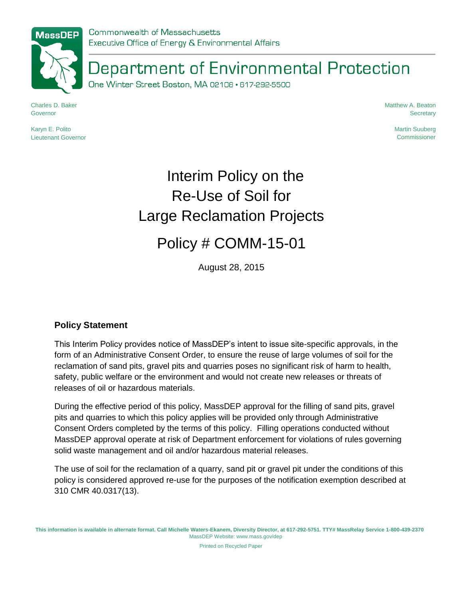## Department of Environmental Protection

One Winter Street Boston, MA 02108 · 617-292-5500

Charles D. Baker Governor

Karyn E. Polito Lieutenant Governor Matthew A. Beaton **Secretary** 

> Martin Suuberg Commissioner

# Interim Policy on the Re-Use of Soil for Large Reclamation Projects

### Policy # COMM-15-01

August 28, 2015

#### **Policy Statement**

This Interim Policy provides notice of MassDEP's intent to issue site-specific approvals, in the form of an Administrative Consent Order, to ensure the reuse of large volumes of soil for the reclamation of sand pits, gravel pits and quarries poses no significant risk of harm to health, safety, public welfare or the environment and would not create new releases or threats of releases of oil or hazardous materials.

During the effective period of this policy, MassDEP approval for the filling of sand pits, gravel pits and quarries to which this policy applies will be provided only through Administrative Consent Orders completed by the terms of this policy. Filling operations conducted without MassDEP approval operate at risk of Department enforcement for violations of rules governing solid waste management and oil and/or hazardous material releases.

The use of soil for the reclamation of a quarry, sand pit or gravel pit under the conditions of this policy is considered approved re-use for the purposes of the notification exemption described at 310 CMR 40.0317(13).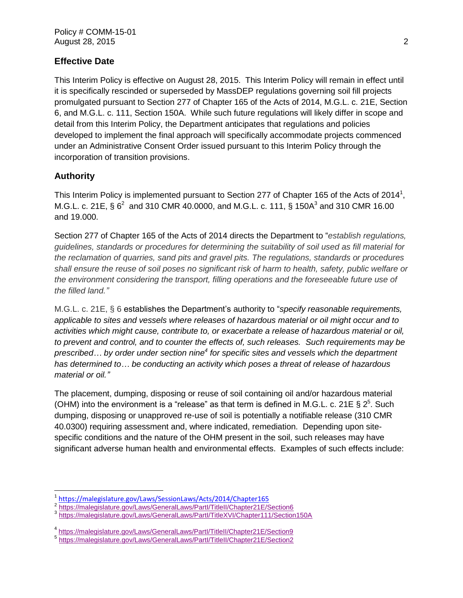#### **Effective Date**

This Interim Policy is effective on August 28, 2015. This Interim Policy will remain in effect until it is specifically rescinded or superseded by MassDEP regulations governing soil fill projects promulgated pursuant to Section 277 of Chapter 165 of the Acts of 2014, M.G.L. c. 21E, Section 6, and M.G.L. c. 111, Section 150A. While such future regulations will likely differ in scope and detail from this Interim Policy, the Department anticipates that regulations and policies developed to implement the final approach will specifically accommodate projects commenced under an Administrative Consent Order issued pursuant to this Interim Policy through the incorporation of transition provisions.

#### **Authority**

This Interim Policy is implemented pursuant to Section 277 of Chapter 165 of the Acts of 2014<sup>1</sup>, M.G.L. c. 21E, §  $6^2$  and 310 CMR 40.0000, and M.G.L. c. 111, § 150A<sup>3</sup> and 310 CMR 16.00 and 19.000.

Section 277 of Chapter 165 of the Acts of 2014 directs the Department to "*establish regulations, guidelines, standards or procedures for determining the suitability of soil used as fill material for the reclamation of quarries, sand pits and gravel pits. The regulations, standards or procedures* shall ensure the reuse of soil poses no significant risk of harm to health, safety, public welfare or *the environment considering the transport, filling operations and the foreseeable future use of the filled land."*

M.G.L. c. 21E, § 6 establishes the Department's authority to "*specify reasonable requirements, applicable to sites and vessels where releases of hazardous material or oil might occur and to activities which might cause, contribute to, or exacerbate a release of hazardous material or oil, to prevent and control, and to counter the effects of, such releases. Such requirements may be prescribed… by order under section nine<sup>4</sup> for specific sites and vessels which the department has determined to… be conducting an activity which poses a threat of release of hazardous material or oil."*

The placement, dumping, disposing or reuse of soil containing oil and/or hazardous material (OHM) into the environment is a "release" as that term is defined in M.G.L. c. 21E §  $2^5$ . Such dumping, disposing or unapproved re-use of soil is potentially a notifiable release (310 CMR 40.0300) requiring assessment and, where indicated, remediation. Depending upon sitespecific conditions and the nature of the OHM present in the soil, such releases may have significant adverse human health and environmental effects. Examples of such effects include:

<sup>&</sup>lt;sup>1</sup><https://malegislature.gov/Laws/SessionLaws/Acts/2014/Chapter165>

<sup>&</sup>lt;sup>2</sup> https://malegislature.gov/Laws/GeneralLaws/Partl/TitleII/Chapter21E/Section6

<sup>3</sup> https://malegislature.gov/Laws/GeneralLaws/Partl/TitleXVI/Chapter111/Section150A

<sup>4</sup> <https://malegislature.gov/Laws/GeneralLaws/PartI/TitleII/Chapter21E/Section9>

<sup>5</sup> <https://malegislature.gov/Laws/GeneralLaws/PartI/TitleII/Chapter21E/Section2>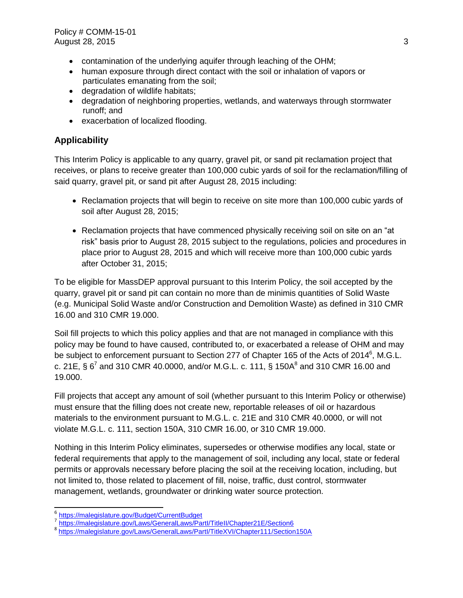- contamination of the underlying aquifer through leaching of the OHM;
- human exposure through direct contact with the soil or inhalation of vapors or particulates emanating from the soil;
- degradation of wildlife habitats;
- degradation of neighboring properties, wetlands, and waterways through stormwater runoff; and
- exacerbation of localized flooding.

### **Applicability**

This Interim Policy is applicable to any quarry, gravel pit, or sand pit reclamation project that receives, or plans to receive greater than 100,000 cubic yards of soil for the reclamation/filling of said quarry, gravel pit, or sand pit after August 28, 2015 including:

- Reclamation projects that will begin to receive on site more than 100,000 cubic yards of soil after August 28, 2015;
- Reclamation projects that have commenced physically receiving soil on site on an "at risk" basis prior to August 28, 2015 subject to the regulations, policies and procedures in place prior to August 28, 2015 and which will receive more than 100,000 cubic yards after October 31, 2015;

To be eligible for MassDEP approval pursuant to this Interim Policy, the soil accepted by the quarry, gravel pit or sand pit can contain no more than de minimis quantities of Solid Waste (e.g. Municipal Solid Waste and/or Construction and Demolition Waste) as defined in 310 CMR 16.00 and 310 CMR 19.000.

Soil fill projects to which this policy applies and that are not managed in compliance with this policy may be found to have caused, contributed to, or exacerbated a release of OHM and may be subject to enforcement pursuant to Section 277 of Chapter 165 of the Acts of 2014 $^6$ , M.G.L. c. 21E, § 6<sup>7</sup> and 310 CMR 40.0000, and/or M.G.L. c. 111, § 150A<sup>8</sup> and 310 CMR 16.00 and 19.000.

Fill projects that accept any amount of soil (whether pursuant to this Interim Policy or otherwise) must ensure that the filling does not create new, reportable releases of oil or hazardous materials to the environment pursuant to M.G.L. c. 21E and 310 CMR 40.0000, or will not violate M.G.L. c. 111, section 150A, 310 CMR 16.00, or 310 CMR 19.000.

Nothing in this Interim Policy eliminates, supersedes or otherwise modifies any local, state or federal requirements that apply to the management of soil, including any local, state or federal permits or approvals necessary before placing the soil at the receiving location, including, but not limited to, those related to placement of fill, noise, traffic, dust control, stormwater management, wetlands, groundwater or drinking water source protection.

<sup>6</sup> <https://malegislature.gov/Budget/CurrentBudget>

<sup>7</sup> https://malegislature.gov/Laws/GeneralLaws/Partl/TitleII/Chapter21E/Section6

<sup>&</sup>lt;sup>8</sup>https://malegislature.gov/Laws/GeneralLaws/Partl/TitleXVI/Chapter111/Section150A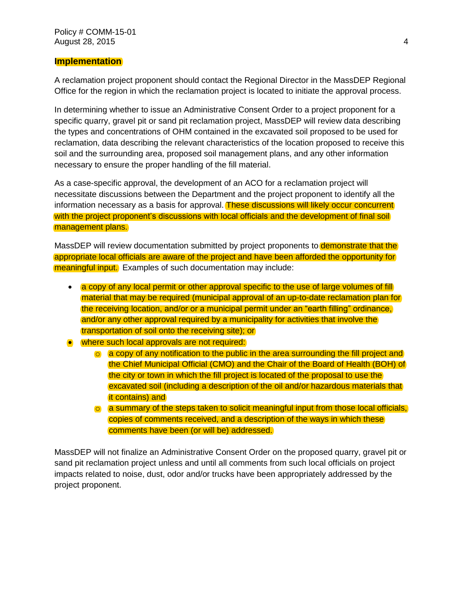#### **Implementation**

A reclamation project proponent should contact the Regional Director in the MassDEP Regional Office for the region in which the reclamation project is located to initiate the approval process.

In determining whether to issue an Administrative Consent Order to a project proponent for a specific quarry, gravel pit or sand pit reclamation project, MassDEP will review data describing the types and concentrations of OHM contained in the excavated soil proposed to be used for reclamation, data describing the relevant characteristics of the location proposed to receive this soil and the surrounding area, proposed soil management plans, and any other information necessary to ensure the proper handling of the fill material.

As a case-specific approval, the development of an ACO for a reclamation project will necessitate discussions between the Department and the project proponent to identify all the information necessary as a basis for approval. These discussions will likely occur concurrent with the project proponent's discussions with local officials and the development of final soil management plans.

MassDEP will review documentation submitted by project proponents to **demonstrate that the** appropriate local officials are aware of the project and have been afforded the opportunity for meaningful input. Examples of such documentation may include:

- a copy of any local permit or other approval specific to the use of large volumes of fill material that may be required (municipal approval of an up-to-date reclamation plan for the receiving location, and/or or a municipal permit under an "earth filling" ordinance, and/or any other approval required by a municipality for activities that involve the transportation of soil onto the receiving site); or
- where such local approvals are not required:
	- o a copy of any notification to the public in the area surrounding the fill project and the Chief Municipal Official (CMO) and the Chair of the Board of Health (BOH) of the city or town in which the fill project is located of the proposal to use the excavated soil (including a description of the oil and/or hazardous materials that it contains) and
	- o a summary of the steps taken to solicit meaningful input from those local officials, copies of comments received, and a description of the ways in which these comments have been (or will be) addressed.

MassDEP will not finalize an Administrative Consent Order on the proposed quarry, gravel pit or sand pit reclamation project unless and until all comments from such local officials on project impacts related to noise, dust, odor and/or trucks have been appropriately addressed by the project proponent.